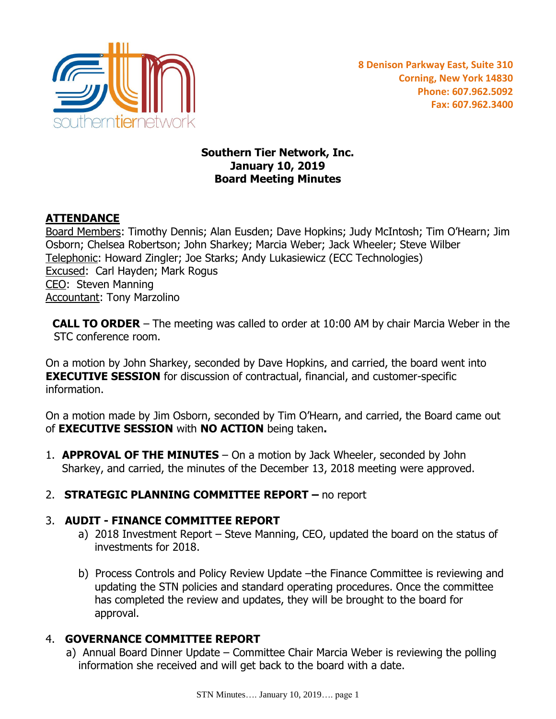

#### **Southern Tier Network, Inc. January 10, 2019 Board Meeting Minutes**

# **ATTENDANCE**

Board Members: Timothy Dennis; Alan Eusden; Dave Hopkins; Judy McIntosh; Tim O'Hearn; Jim Osborn; Chelsea Robertson; John Sharkey; Marcia Weber; Jack Wheeler; Steve Wilber Telephonic: Howard Zingler; Joe Starks; Andy Lukasiewicz (ECC Technologies) Excused: Carl Hayden; Mark Rogus CEO: Steven Manning Accountant: Tony Marzolino

 **CALL TO ORDER** – The meeting was called to order at 10:00 AM by chair Marcia Weber in the STC conference room.

On a motion by John Sharkey, seconded by Dave Hopkins, and carried, the board went into **EXECUTIVE SESSION** for discussion of contractual, financial, and customer-specific information.

On a motion made by Jim Osborn, seconded by Tim O'Hearn, and carried, the Board came out of **EXECUTIVE SESSION** with **NO ACTION** being taken**.**

- 1. **APPROVAL OF THE MINUTES** On a motion by Jack Wheeler, seconded by John Sharkey, and carried, the minutes of the December 13, 2018 meeting were approved.
- 2. **STRATEGIC PLANNING COMMITTEE REPORT –** no report

## 3. **AUDIT - FINANCE COMMITTEE REPORT**

- a) 2018 Investment Report Steve Manning, CEO, updated the board on the status of investments for 2018.
- b) Process Controls and Policy Review Update –the Finance Committee is reviewing and updating the STN policies and standard operating procedures. Once the committee has completed the review and updates, they will be brought to the board for approval.

## 4. **GOVERNANCE COMMITTEE REPORT**

a) Annual Board Dinner Update – Committee Chair Marcia Weber is reviewing the polling information she received and will get back to the board with a date.